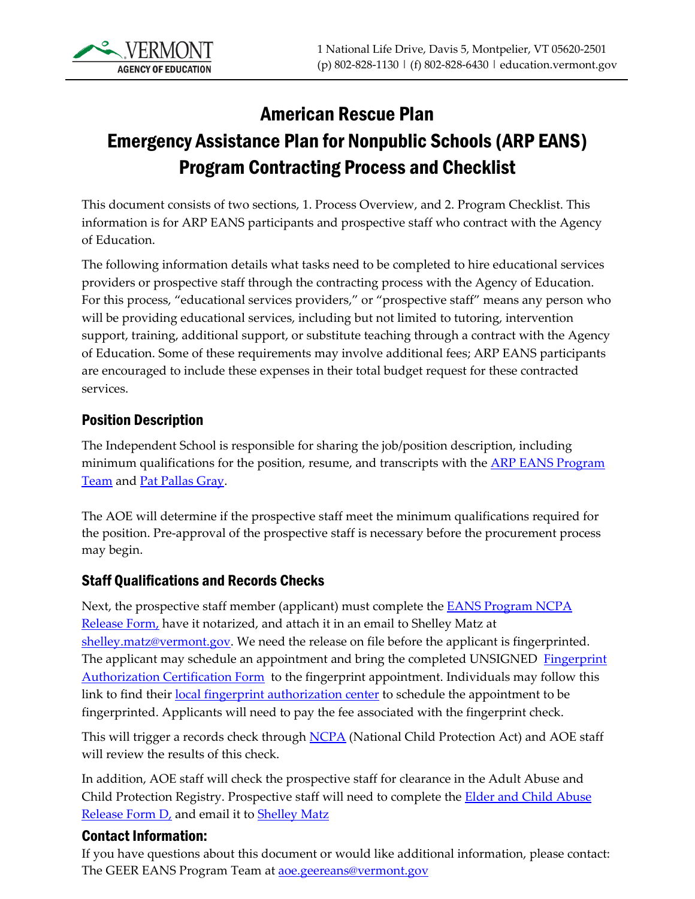

# American Rescue Plan Emergency Assistance Plan for Nonpublic Schools (ARP EANS) Program Contracting Process and Checklist

This document consists of two sections, 1. Process Overview, and 2. Program Checklist. This information is for ARP EANS participants and prospective staff who contract with the Agency of Education.

The following information details what tasks need to be completed to hire educational services providers or prospective staff through the contracting process with the Agency of Education. For this process, "educational services providers," or "prospective staff" means any person who will be providing educational services, including but not limited to tutoring, intervention support, training, additional support, or substitute teaching through a contract with the Agency of Education. Some of these requirements may involve additional fees; ARP EANS participants are encouraged to include these expenses in their total budget request for these contracted services.

### Position Description

The Independent School is responsible for sharing the job/position description, including minimum qualifications for the position, resume, and transcripts with the **ARP EANS Program** [Team](mailto:aoe.geereans@vermont.gov) and [Pat Pallas Gray.](mailto:pat.pallasgray@vermont.gov)

The AOE will determine if the prospective staff meet the minimum qualifications required for the position. Pre-approval of the prospective staff is necessary before the procurement process may begin.

#### Staff Qualifications and Records Checks

Next, the prospective staff member (applicant) must complete the **EANS Program NCPA** [Release Form,](https://education.vermont.gov/documents/edu-eans-program-ncpa-release-form) have it notarized, and attach it in an email to Shelley Matz at [shelley.matz@vermont.gov.](mailto:shelley.matz@vermont.gov) We need the release on file before the applicant is fingerprinted. The applicant may schedule an appointment and bring the completed UNSIGNED Fingerprint [Authorization Certification Form](https://education.vermont.gov/documents/edu-fac-agency-of-education-contracted-employees) to the fingerprint appointment. Individuals may follow this link to find their [local fingerprint authorization center](https://vcic.vermont.gov/ch-information/record-checks/fingerprint-id-centers) to schedule the appointment to be fingerprinted. Applicants will need to pay the fee associated with the fingerprint check.

This will trigger a records check through [NCPA](https://vcic.vermont.gov/ch-information/record-checks/national/fact-sheet) (National Child Protection Act) and AOE staff will review the results of this check.

In addition, AOE staff will check the prospective staff for clearance in the Adult Abuse and Child Protection Registry. Prospective staff will need to complete the **Elder and Child Abuse** Release [Form D,](https://education.vermont.gov/documents/edu-ahs-ed-contractor-form-d) and email it to **Shelley Matz** 

#### Contact Information:

If you have questions about this document or would like additional information, please contact: The GEER EANS Program Team at **aoe.geereans@vermont.gov**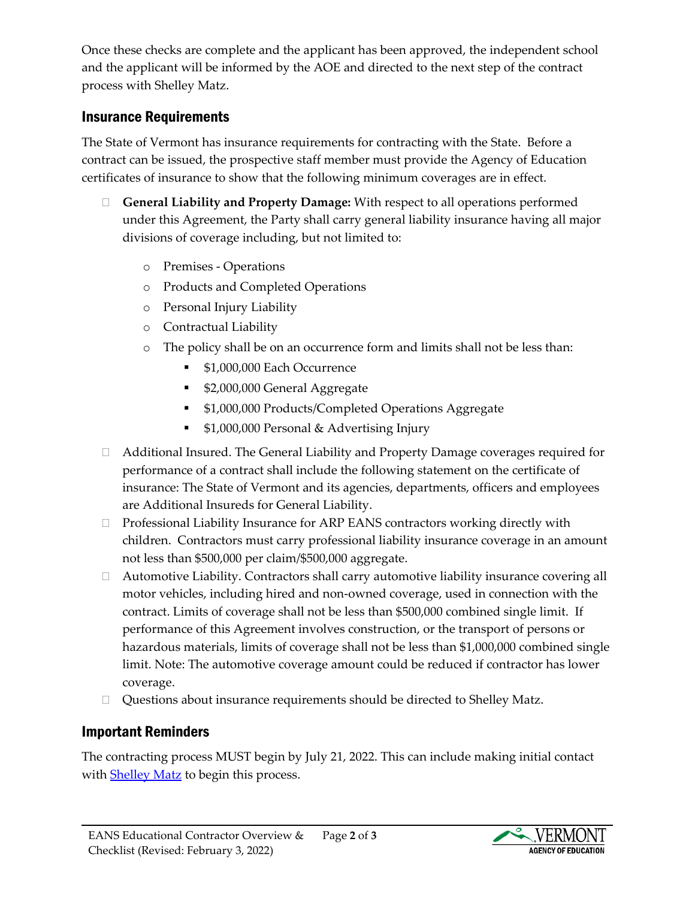Once these checks are complete and the applicant has been approved, the independent school and the applicant will be informed by the AOE and directed to the next step of the contract process with Shelley Matz.

## Insurance Requirements

The State of Vermont has insurance requirements for contracting with the State. Before a contract can be issued, the prospective staff member must provide the Agency of Education certificates of insurance to show that the following minimum coverages are in effect.

- **General Liability and Property Damage:** With respect to all operations performed under this Agreement, the Party shall carry general liability insurance having all major divisions of coverage including, but not limited to:
	- o Premises Operations
	- o Products and Completed Operations
	- o Personal Injury Liability
	- o Contractual Liability
	- o The policy shall be on an occurrence form and limits shall not be less than:
		- **51,000,000 Each Occurrence**
		- **52,000,000 General Aggregate**
		- <sup>•</sup> \$1,000,000 Products/Completed Operations Aggregate
		- **51,000,000 Personal & Advertising Injury**
- Additional Insured. The General Liability and Property Damage coverages required for performance of a contract shall include the following statement on the certificate of insurance: The State of Vermont and its agencies, departments, officers and employees are Additional Insureds for General Liability.
- $\Box$  Professional Liability Insurance for ARP EANS contractors working directly with children. Contractors must carry professional liability insurance coverage in an amount not less than \$500,000 per claim/\$500,000 aggregate.
- $\Box$  Automotive Liability. Contractors shall carry automotive liability insurance covering all motor vehicles, including hired and non-owned coverage, used in connection with the contract. Limits of coverage shall not be less than \$500,000 combined single limit. If performance of this Agreement involves construction, or the transport of persons or hazardous materials, limits of coverage shall not be less than \$1,000,000 combined single limit. Note: The automotive coverage amount could be reduced if contractor has lower coverage.
- □ Questions about insurance requirements should be directed to [Shelley Matz.](mailto:shelley.matz@vermont.gov)

## Important Reminders

The contracting process MUST begin by July 21, 2022. This can include making initial contact with **Shelley Matz** to begin this process.